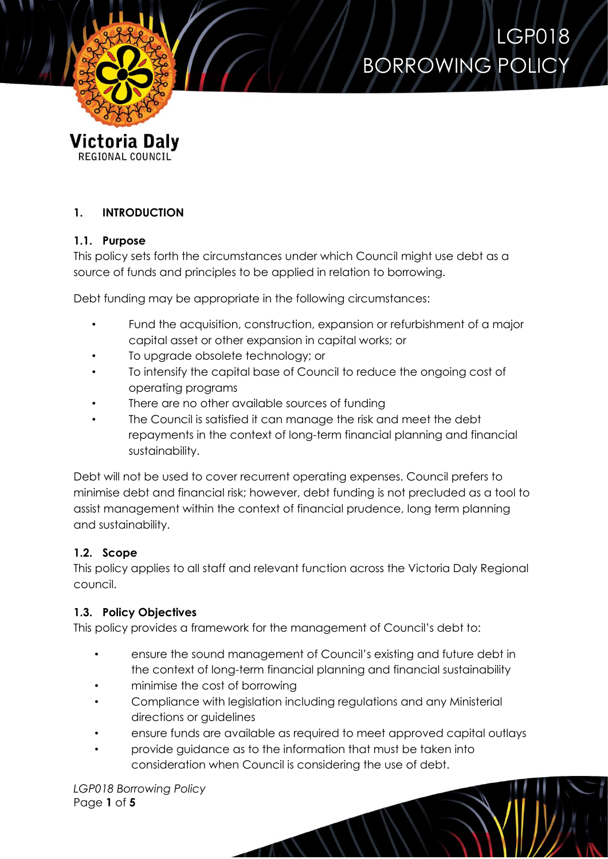



# **1. INTRODUCTION**

#### **1.1. Purpose**

This policy sets forth the circumstances under which Council might use debt as a source of funds and principles to be applied in relation to borrowing.

Debt funding may be appropriate in the following circumstances:

- Fund the acquisition, construction, expansion or refurbishment of a major capital asset or other expansion in capital works; or
- To upgrade obsolete technology; or
- To intensify the capital base of Council to reduce the ongoing cost of operating programs
- There are no other available sources of funding
- The Council is satisfied it can manage the risk and meet the debt repayments in the context of long-term financial planning and financial sustainability.

Debt will not be used to cover recurrent operating expenses. Council prefers to minimise debt and financial risk; however, debt funding is not precluded as a tool to assist management within the context of financial prudence, long term planning and sustainability.

# **1.2. Scope**

This policy applies to all staff and relevant function across the Victoria Daly Regional council.

# **1.3. Policy Objectives**

This policy provides a framework for the management of Council's debt to:

- ensure the sound management of Council's existing and future debt in the context of long-term financial planning and financial sustainability
- minimise the cost of borrowing
- Compliance with legislation including regulations and any Ministerial directions or guidelines
- ensure funds are available as required to meet approved capital outlays
- provide guidance as to the information that must be taken into consideration when Council is considering the use of debt.

*LGP018 Borrowing Policy* Page **1** of **5**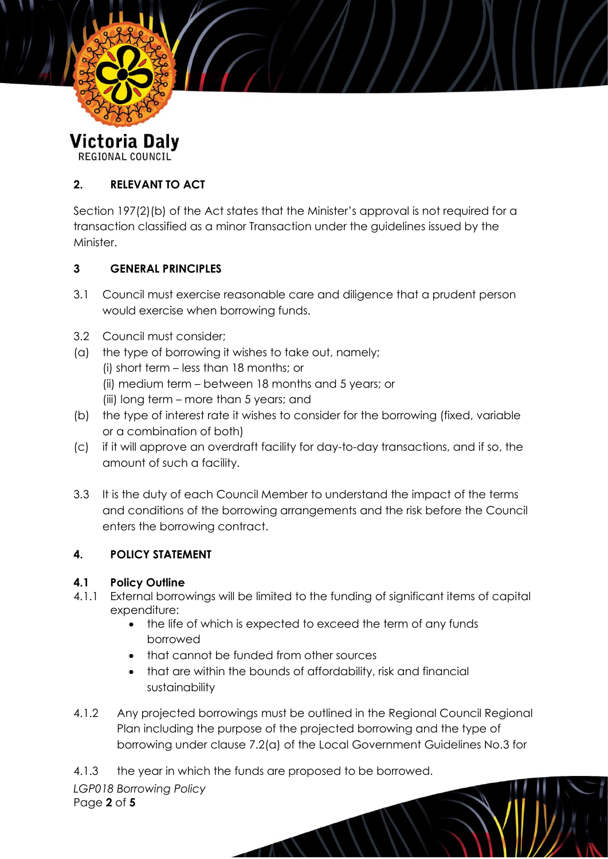

**Victoria Daly REGIONAL COUNCIL** 

# **2. RELEVANT TO ACT**

Section 197(2)(b) of the Act states that the Minister's approval is not required for a transaction classified as a minor Transaction under the guidelines issued by the **Minister** 

# **3 GENERAL PRINCIPLES**

- 3.1 Council must exercise reasonable care and diligence that a prudent person would exercise when borrowing funds.
- 3.2 Council must consider;
- (a) the type of borrowing it wishes to take out, namely;
	- (i) short term less than 18 months; or
	- (ii) medium term between 18 months and 5 years; or
	- (iii) long term more than 5 years; and
- (b) the type of interest rate it wishes to consider for the borrowing (fixed, variable or a combination of both)
- (c) if it will approve an overdraft facility for day-to-day transactions, and if so, the amount of such a facility.
- 3.3 It is the duty of each Council Member to understand the impact of the terms and conditions of the borrowing arrangements and the risk before the Council enters the borrowing contract.

# **4. POLICY STATEMENT**

# **4.1 Policy Outline**

- 4.1.1 External borrowings will be limited to the funding of significant items of capital expenditure:
	- the life of which is expected to exceed the term of any funds borrowed
	- that cannot be funded from other sources
	- that are within the bounds of affordability, risk and financial sustainability
- 4.1.2 Any projected borrowings must be outlined in the Regional Council Regional Plan including the purpose of the projected borrowing and the type of borrowing under clause 7.2(a) of the Local Government Guidelines No.3 for
- 4.1.3 the year in which the funds are proposed to be borrowed.

*LGP018 Borrowing Policy* Page **2** of **5**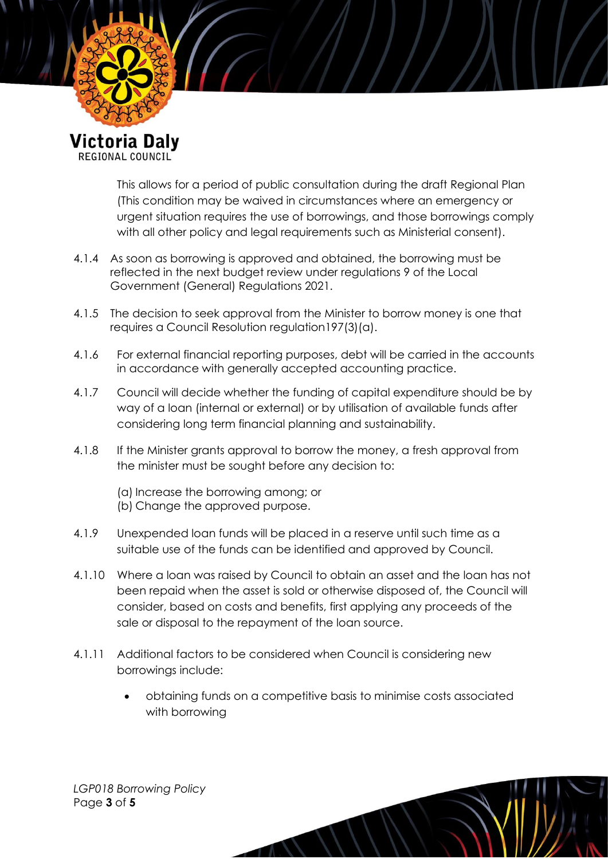

REGIONAL COUNCIL

This allows for a period of public consultation during the draft Regional Plan (This condition may be waived in circumstances where an emergency or urgent situation requires the use of borrowings, and those borrowings comply with all other policy and legal requirements such as Ministerial consent).

- 4.1.4 As soon as borrowing is approved and obtained, the borrowing must be reflected in the next budget review under regulations 9 of the Local Government (General) Regulations 2021.
- 4.1.5 The decision to seek approval from the Minister to borrow money is one that requires a Council Resolution regulation197(3)(a).
- 4.1.6 For external financial reporting purposes, debt will be carried in the accounts in accordance with generally accepted accounting practice.
- 4.1.7 Council will decide whether the funding of capital expenditure should be by way of a loan (internal or external) or by utilisation of available funds after considering long term financial planning and sustainability.
- 4.1.8 If the Minister grants approval to borrow the money, a fresh approval from the minister must be sought before any decision to:
	- (a) Increase the borrowing among; or (b) Change the approved purpose.
- 4.1.9 Unexpended loan funds will be placed in a reserve until such time as a suitable use of the funds can be identified and approved by Council.
- 4.1.10 Where a loan was raised by Council to obtain an asset and the loan has not been repaid when the asset is sold or otherwise disposed of, the Council will consider, based on costs and benefits, first applying any proceeds of the sale or disposal to the repayment of the loan source.
- 4.1.11 Additional factors to be considered when Council is considering new borrowings include:
	- obtaining funds on a competitive basis to minimise costs associated with borrowing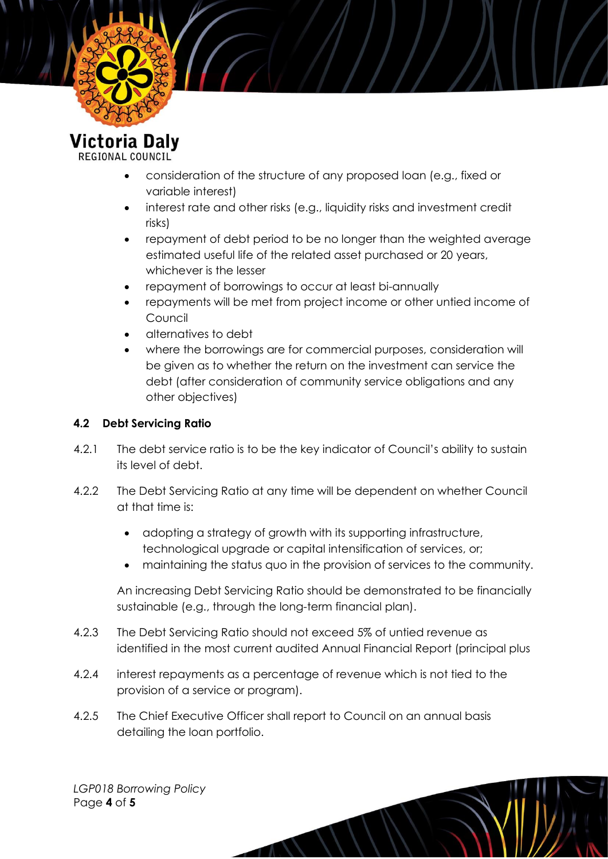

**Victoria Daly** REGIONAL COUNCIL

- consideration of the structure of any proposed loan (e.g., fixed or variable interest)
- interest rate and other risks (e.g., liquidity risks and investment credit risks)
- repayment of debt period to be no longer than the weighted average estimated useful life of the related asset purchased or 20 years, whichever is the lesser
- repayment of borrowings to occur at least bi-annually
- repayments will be met from project income or other untied income of Council
- alternatives to debt
- where the borrowings are for commercial purposes, consideration will be given as to whether the return on the investment can service the debt (after consideration of community service obligations and any other objectives)

#### **4.2 Debt Servicing Ratio**

- 4.2.1 The debt service ratio is to be the key indicator of Council's ability to sustain its level of debt.
- 4.2.2 The Debt Servicing Ratio at any time will be dependent on whether Council at that time is:
	- adopting a strategy of growth with its supporting infrastructure, technological upgrade or capital intensification of services, or;
	- maintaining the status quo in the provision of services to the community.

An increasing Debt Servicing Ratio should be demonstrated to be financially sustainable (e.g., through the long-term financial plan).

- 4.2.3 The Debt Servicing Ratio should not exceed 5% of untied revenue as identified in the most current audited Annual Financial Report (principal plus
- 4.2.4 interest repayments as a percentage of revenue which is not tied to the provision of a service or program).
- 4.2.5 The Chief Executive Officer shall report to Council on an annual basis detailing the loan portfolio.